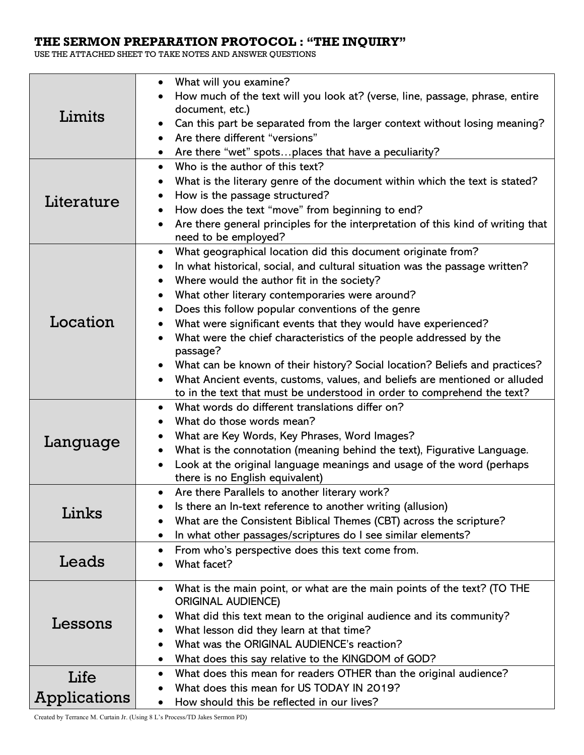# **THE SERMON PREPARATION PROTOCOL : "THE INQUIRY"**

USE THE ATTACHED SHEET TO TAKE NOTES AND ANSWER QUESTIONS

| Limits<br>Literature | What will you examine?<br>How much of the text will you look at? (verse, line, passage, phrase, entire<br>document, etc.)<br>Can this part be separated from the larger context without losing meaning?<br>Are there different "versions"<br>Are there "wet" spotsplaces that have a peculiarity?<br>Who is the author of this text?<br>$\bullet$<br>What is the literary genre of the document within which the text is stated?<br>How is the passage structured?<br>How does the text "move" from beginning to end?<br>Are there general principles for the interpretation of this kind of writing that                                                                                                                  |  |
|----------------------|----------------------------------------------------------------------------------------------------------------------------------------------------------------------------------------------------------------------------------------------------------------------------------------------------------------------------------------------------------------------------------------------------------------------------------------------------------------------------------------------------------------------------------------------------------------------------------------------------------------------------------------------------------------------------------------------------------------------------|--|
| Location             | need to be employed?<br>What geographical location did this document originate from?<br>٠<br>In what historical, social, and cultural situation was the passage written?<br>Where would the author fit in the society?<br>What other literary contemporaries were around?<br>Does this follow popular conventions of the genre<br>What were significant events that they would have experienced?<br>What were the chief characteristics of the people addressed by the<br>passage?<br>What can be known of their history? Social location? Beliefs and practices?<br>What Ancient events, customs, values, and beliefs are mentioned or alluded<br>to in the text that must be understood in order to comprehend the text? |  |
| Language             | What words do different translations differ on?<br>$\bullet$<br>What do those words mean?<br>What are Key Words, Key Phrases, Word Images?<br>What is the connotation (meaning behind the text), Figurative Language.<br>Look at the original language meanings and usage of the word (perhaps<br>there is no English equivalent)                                                                                                                                                                                                                                                                                                                                                                                          |  |
| Links                | Are there Parallels to another literary work?<br>Is there an In-text reference to another writing (allusion)<br>What are the Consistent Biblical Themes (CBT) across the scripture?<br>In what other passages/scriptures do I see similar elements?                                                                                                                                                                                                                                                                                                                                                                                                                                                                        |  |
| Leads                | From who's perspective does this text come from.<br>$\bullet$<br>What facet?                                                                                                                                                                                                                                                                                                                                                                                                                                                                                                                                                                                                                                               |  |
| Lessons              | What is the main point, or what are the main points of the text? (TO THE<br>$\bullet$<br><b>ORIGINAL AUDIENCE)</b><br>What did this text mean to the original audience and its community?<br>What lesson did they learn at that time?<br>What was the ORIGINAL AUDIENCE's reaction?<br>What does this say relative to the KINGDOM of GOD?                                                                                                                                                                                                                                                                                                                                                                                  |  |
| Life<br>Applications | What does this mean for readers OTHER than the original audience?<br>$\bullet$<br>What does this mean for US TODAY IN 2019?<br>How should this be reflected in our lives?                                                                                                                                                                                                                                                                                                                                                                                                                                                                                                                                                  |  |

Created by Terrance M. Curtain Jr. (Using 8 L's Process/TD Jakes Sermon PD)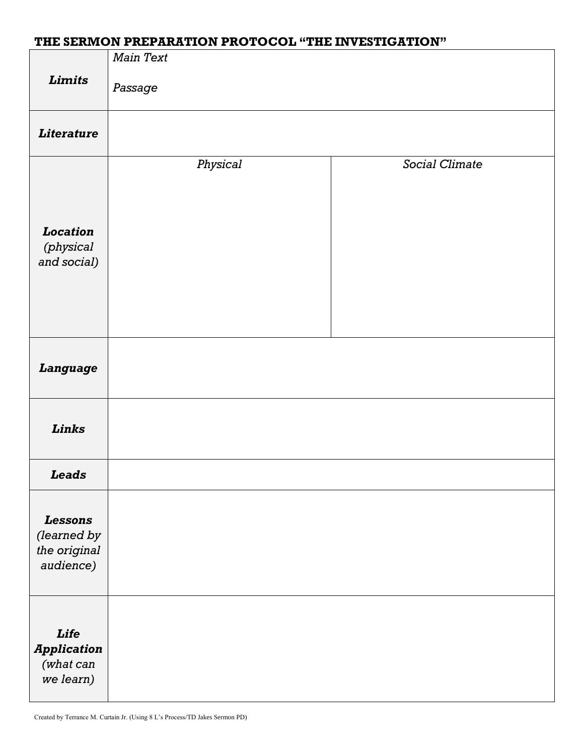# **THE SERMON PREPARATION PROTOCOL "THE INVESTIGATION"**

|                                                            | <b>Main Text</b> |                       |
|------------------------------------------------------------|------------------|-----------------------|
| <b>Limits</b>                                              | Passage          |                       |
| <b>Literature</b>                                          |                  |                       |
| Location<br>(physical<br>and social)                       | Physical         | <b>Social Climate</b> |
| <b>Language</b>                                            |                  |                       |
| Links                                                      |                  |                       |
| <b>Leads</b>                                               |                  |                       |
| <b>Lessons</b><br>(learned by<br>the original<br>audience) |                  |                       |
| Life<br><b>Application</b><br>(what can<br>we learn)       |                  |                       |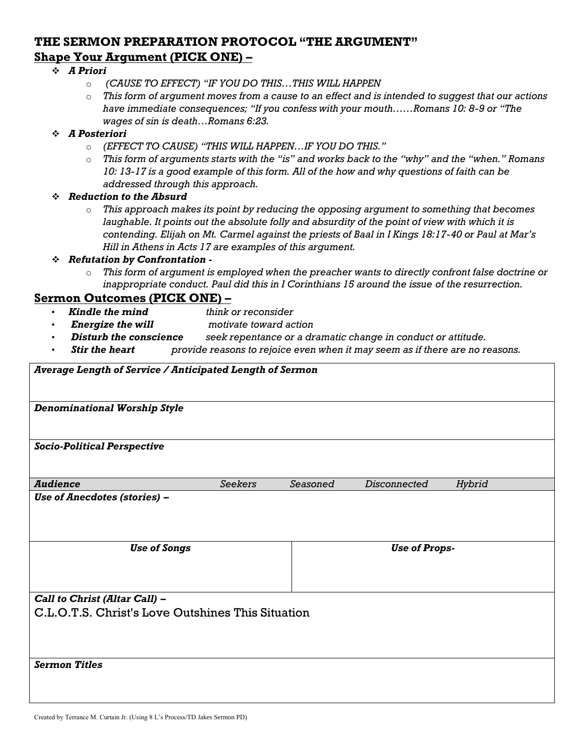# **THE SERMON PREPARATION PROTOCOL "THE ARGUMENT" Shape Your Argument (PICK ONE) –**

#### ❖ *A Priori*

- o *(CAUSE TO EFFECT) "IF YOU DO THIS…THIS WILL HAPPEN*
- o *This form of argument moves from a cause to an effect and is intended to suggest that our actions have immediate consequences; "If you confess with your mouth……Romans 10: 8-9 or "The wages of sin is death…Romans 6:23.*

#### ❖ *A Posteriori*

- o *(EFFECT TO CAUSE) "THIS WILL HAPPEN…IF YOU DO THIS."*
- o *This form of arguments starts with the "is" and works back to the "why" and the "when." Romans 10: 13-17 is a good example of this form. All of the how and why questions of faith can be addressed through this approach.*

#### ❖ *Reduction to the Absurd*

o *This approach makes its point by reducing the opposing argument to something that becomes laughable. It points out the absolute folly and absurdity of the point of view with which it is contending. Elijah on Mt. Carmel against the priests of Baal in I Kings 18:17-40 or Paul at Mar's Hill in Athens in Acts 17 are examples of this argument.*

#### ❖ *Refutation by Confrontation -*

o *This form of argument is employed when the preacher wants to directly confront false doctrine or inappropriate conduct. Paul did this in I Corinthians 15 around the issue of the resurrection.*

### **Sermon Outcomes (PICK ONE) –**

- *Kindle the mind think or reconsider*
- *Energize the will motivate toward action*
- *Disturb the conscience seek repentance or a dramatic change in conduct or attitude.*
- *Stir the heart provide reasons to rejoice even when it may seem as if there are no reasons.*

| Average Length of Service / Anticipated Length of Sermon |                |          |                      |        |  |  |
|----------------------------------------------------------|----------------|----------|----------------------|--------|--|--|
| <b>Denominational Worship Style</b>                      |                |          |                      |        |  |  |
| <b>Socio-Political Perspective</b>                       |                |          |                      |        |  |  |
| <b>Audience</b>                                          | <b>Seekers</b> | Seasoned | <b>Disconnected</b>  | Hybrid |  |  |
| Use of Anecdotes (stories) -                             |                |          |                      |        |  |  |
| <b>Use of Songs</b>                                      |                |          | <b>Use of Props-</b> |        |  |  |
| Call to Christ (Altar Call) -                            |                |          |                      |        |  |  |
| C.L.O.T.S. Christ's Love Outshines This Situation        |                |          |                      |        |  |  |
| <b>Sermon Titles</b>                                     |                |          |                      |        |  |  |